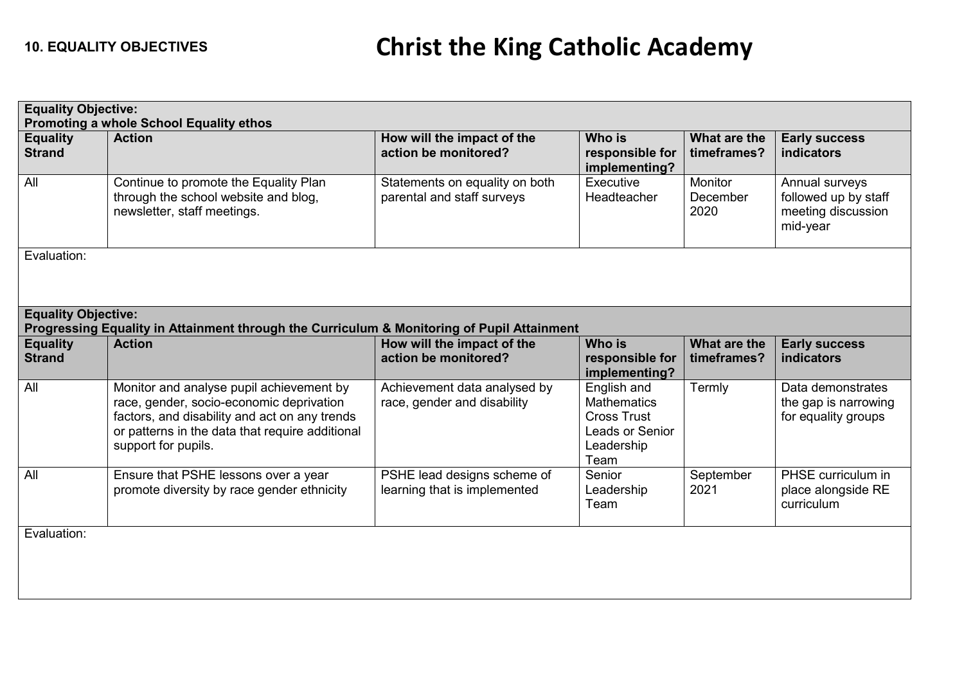| <b>Equality Objective:</b><br>Promoting a whole School Equality ethos                                                    |                                                                                                                                                                                                                 |                                                              |                                                                                           |                             |                                                                          |  |
|--------------------------------------------------------------------------------------------------------------------------|-----------------------------------------------------------------------------------------------------------------------------------------------------------------------------------------------------------------|--------------------------------------------------------------|-------------------------------------------------------------------------------------------|-----------------------------|--------------------------------------------------------------------------|--|
| <b>Equality</b><br><b>Strand</b>                                                                                         | <b>Action</b>                                                                                                                                                                                                   | How will the impact of the<br>action be monitored?           | Who is<br>responsible for<br>implementing?                                                | What are the<br>timeframes? | <b>Early success</b><br><b>indicators</b>                                |  |
| All                                                                                                                      | Continue to promote the Equality Plan<br>through the school website and blog,<br>newsletter, staff meetings.                                                                                                    | Statements on equality on both<br>parental and staff surveys | Executive<br>Headteacher                                                                  | Monitor<br>December<br>2020 | Annual surveys<br>followed up by staff<br>meeting discussion<br>mid-year |  |
| Evaluation:                                                                                                              |                                                                                                                                                                                                                 |                                                              |                                                                                           |                             |                                                                          |  |
| <b>Equality Objective:</b><br>Progressing Equality in Attainment through the Curriculum & Monitoring of Pupil Attainment |                                                                                                                                                                                                                 |                                                              |                                                                                           |                             |                                                                          |  |
| <b>Equality</b><br><b>Strand</b>                                                                                         | <b>Action</b>                                                                                                                                                                                                   | How will the impact of the<br>action be monitored?           | <b>Who is</b><br>responsible for<br>implementing?                                         | What are the<br>timeframes? | <b>Early success</b><br>indicators                                       |  |
| All                                                                                                                      | Monitor and analyse pupil achievement by<br>race, gender, socio-economic deprivation<br>factors, and disability and act on any trends<br>or patterns in the data that require additional<br>support for pupils. | Achievement data analysed by<br>race, gender and disability  | English and<br>Mathematics<br><b>Cross Trust</b><br>Leads or Senior<br>Leadership<br>Team | Termly                      | Data demonstrates<br>the gap is narrowing<br>for equality groups         |  |
| All                                                                                                                      | Ensure that PSHE lessons over a year<br>promote diversity by race gender ethnicity                                                                                                                              | PSHE lead designs scheme of<br>learning that is implemented  | Senior<br>Leadership<br>Team                                                              | September<br>2021           | PHSE curriculum in<br>place alongside RE<br>curriculum                   |  |
| Evaluation:                                                                                                              |                                                                                                                                                                                                                 |                                                              |                                                                                           |                             |                                                                          |  |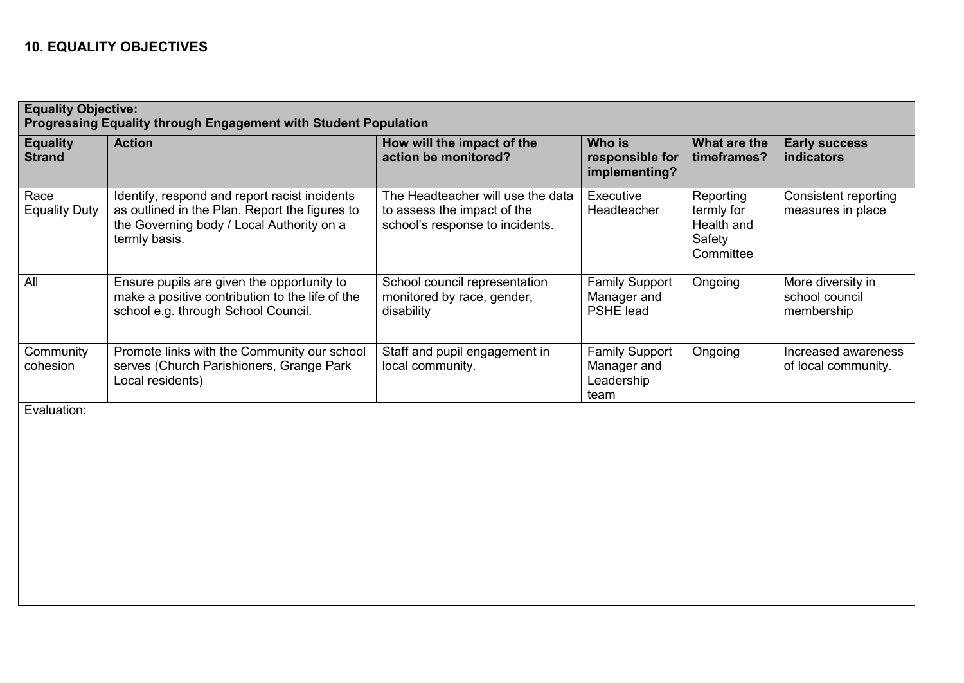## **10. EQUALITY OBJECTIVES**

| <b>Equality Objective:</b><br><b>Progressing Equality through Engagement with Student Population</b> |                                                                                                                                                               |                                                                                                     |                                                            |                                                              |                                                   |  |
|------------------------------------------------------------------------------------------------------|---------------------------------------------------------------------------------------------------------------------------------------------------------------|-----------------------------------------------------------------------------------------------------|------------------------------------------------------------|--------------------------------------------------------------|---------------------------------------------------|--|
| <b>Equality</b><br><b>Strand</b>                                                                     | <b>Action</b>                                                                                                                                                 | How will the impact of the<br>action be monitored?                                                  | Who is<br>responsible for<br>implementing?                 | What are the<br>timeframes?                                  | <b>Early success</b><br><b>indicators</b>         |  |
| Race<br><b>Equality Duty</b>                                                                         | Identify, respond and report racist incidents<br>as outlined in the Plan. Report the figures to<br>the Governing body / Local Authority on a<br>termly basis. | The Headteacher will use the data<br>to assess the impact of the<br>school's response to incidents. | Executive<br>Headteacher                                   | Reporting<br>termly for<br>Health and<br>Safety<br>Committee | Consistent reporting<br>measures in place         |  |
| All                                                                                                  | Ensure pupils are given the opportunity to<br>make a positive contribution to the life of the<br>school e.g. through School Council.                          | School council representation<br>monitored by race, gender,<br>disability                           | <b>Family Support</b><br>Manager and<br>PSHE lead          | Ongoing                                                      | More diversity in<br>school council<br>membership |  |
| Community<br>cohesion<br>$\Gamma$ and $\Gamma$ and $\Gamma$ and $\Gamma$                             | Promote links with the Community our school<br>serves (Church Parishioners, Grange Park<br>Local residents)                                                   | Staff and pupil engagement in<br>local community.                                                   | <b>Family Support</b><br>Manager and<br>Leadership<br>team | Ongoing                                                      | Increased awareness<br>of local community.        |  |

Evaluation: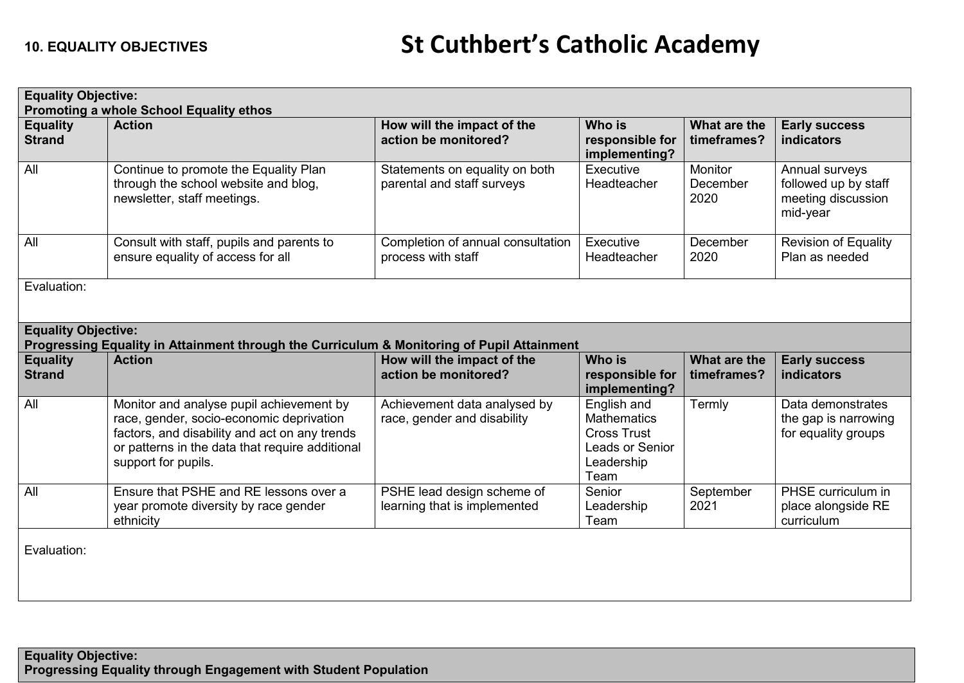| <b>Equality Objective:</b>                                                                                               |                                                                                                                                                                                                                 |                                                              |                                                                                                         |                                    |                                                                          |  |
|--------------------------------------------------------------------------------------------------------------------------|-----------------------------------------------------------------------------------------------------------------------------------------------------------------------------------------------------------------|--------------------------------------------------------------|---------------------------------------------------------------------------------------------------------|------------------------------------|--------------------------------------------------------------------------|--|
| <b>Promoting a whole School Equality ethos</b>                                                                           |                                                                                                                                                                                                                 |                                                              |                                                                                                         |                                    |                                                                          |  |
| <b>Equality</b><br><b>Strand</b>                                                                                         | <b>Action</b>                                                                                                                                                                                                   | How will the impact of the<br>action be monitored?           | <b>Who is</b><br>responsible for<br>implementing?                                                       | What are the<br>timeframes?        | <b>Early success</b><br><b>indicators</b>                                |  |
| All                                                                                                                      | Continue to promote the Equality Plan<br>through the school website and blog,<br>newsletter, staff meetings.                                                                                                    | Statements on equality on both<br>parental and staff surveys | Executive<br><b>Headteacher</b>                                                                         | <b>Monitor</b><br>December<br>2020 | Annual surveys<br>followed up by staff<br>meeting discussion<br>mid-year |  |
| All                                                                                                                      | Consult with staff, pupils and parents to<br>ensure equality of access for all                                                                                                                                  | Completion of annual consultation<br>process with staff      | Executive<br>Headteacher                                                                                | December<br>2020                   | <b>Revision of Equality</b><br>Plan as needed                            |  |
| Evaluation:                                                                                                              |                                                                                                                                                                                                                 |                                                              |                                                                                                         |                                    |                                                                          |  |
| <b>Equality Objective:</b><br>Progressing Equality in Attainment through the Curriculum & Monitoring of Pupil Attainment |                                                                                                                                                                                                                 |                                                              |                                                                                                         |                                    |                                                                          |  |
| <b>Equality</b><br><b>Strand</b>                                                                                         | <b>Action</b>                                                                                                                                                                                                   | How will the impact of the<br>action be monitored?           | <b>Who is</b><br>responsible for<br>implementing?                                                       | What are the<br>timeframes?        | <b>Early success</b><br><b>indicators</b>                                |  |
| All                                                                                                                      | Monitor and analyse pupil achievement by<br>race, gender, socio-economic deprivation<br>factors, and disability and act on any trends<br>or patterns in the data that require additional<br>support for pupils. | Achievement data analysed by<br>race, gender and disability  | English and<br><b>Mathematics</b><br><b>Cross Trust</b><br><b>Leads or Senior</b><br>Leadership<br>Team | Termly                             | Data demonstrates<br>the gap is narrowing<br>for equality groups         |  |
| All                                                                                                                      | Ensure that PSHE and RE lessons over a<br>year promote diversity by race gender<br>ethnicity                                                                                                                    | PSHE lead design scheme of<br>learning that is implemented   | Senior<br>Leadership<br>Team                                                                            | September<br>2021                  | PHSE curriculum in<br>place alongside RE<br>curriculum                   |  |

Evaluation: